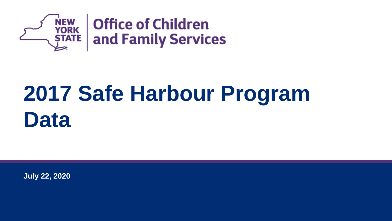

# **2017 Safe Harbour Program Data**

**July 22, 2020**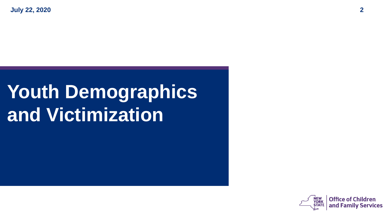# **Youth Demographics and Victimization**

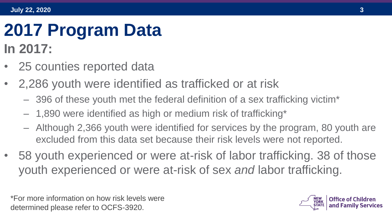## **2017 Program Data In 2017:**

- 25 counties reported data
- 2,286 youth were identified as trafficked or at risk
	- 396 of these youth met the federal definition of a sex trafficking victim\*
	- 1,890 were identified as high or medium risk of trafficking\*
	- Although 2,366 youth were identified for services by the program, 80 youth are excluded from this data set because their risk levels were not reported.
- 58 youth experienced or were at-risk of labor trafficking. 38 of those youth experienced or were at-risk of sex *and* labor trafficking.

\*For more information on how risk levels were determined please refer to OCFS-3920.

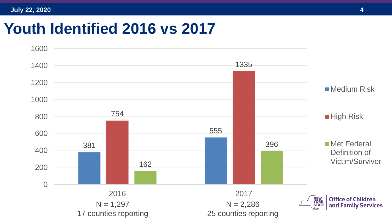### **Youth Identified 2016 vs 2017**

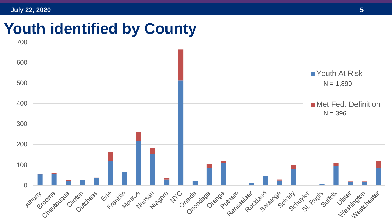### **Youth identified by County**

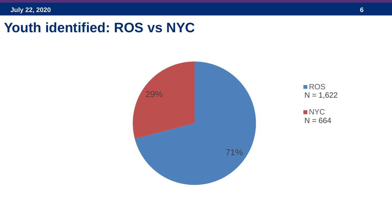### **Youth identified: ROS vs NYC**





■NYC  $N = 664$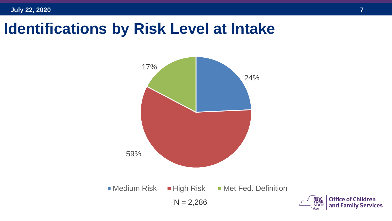**July 22, 2020 7**

### **Identifications by Risk Level at Intake**

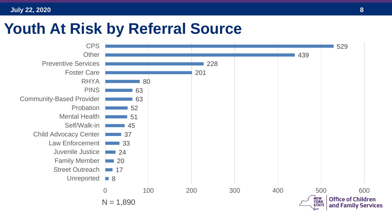### **Youth At Risk by Referral Source**

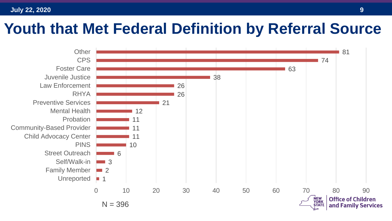### **Youth that Met Federal Definition by Referral Source**

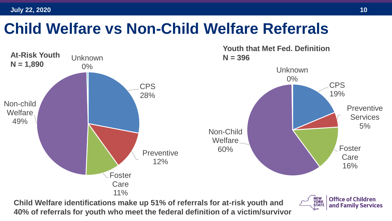### **Child Welfare vs Non-Child Welfare Referrals**



**40% of referrals for youth who meet the federal definition of a victim/survivor**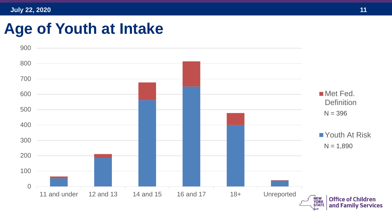### **Age of Youth at Intake**

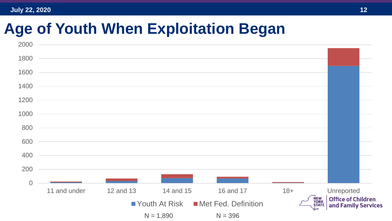### **Age of Youth When Exploitation Began**

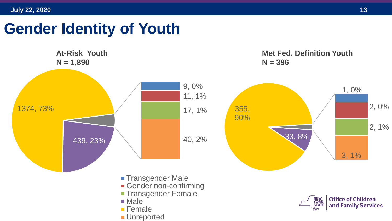### **Gender Identity of Youth**

**At-Risk Youth N = 1,890 N = 396** 9, 0% 1, 0% 11, 1% 1374, 73% 355, 17, 1% 90% 33, 8% 40, 2% 439, 23% 3, 1% **Transgender Male Gender non-confirming Transgender Female** NEW<br>YORK<br>STATE **Office of Children** ■ Male and Family Services ■ Female **Unreported** 

2, 0%

2, 1%

**Met Fed. Definition Youth**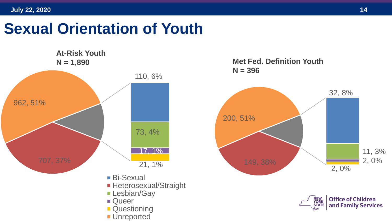### **Sexual Orientation of Youth**

**At-Risk Youth N = 1,890 Met Fed. Definition Youth** 110, 6% 707, 37% 73, 4% 17, 1% 21, 1% 962, 51% ■ Bi-Sexual **Heterosexual/Straight Lesbian/Gay Queer Questioning Unreported** 





NEW<br>YORK<br>STATE

**Office of Children** and Family Services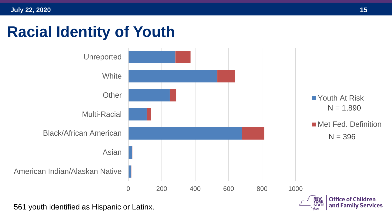## **Racial Identity of Youth**

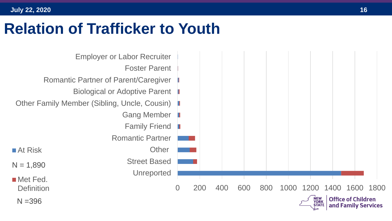### **Relation of Trafficker to Youth**

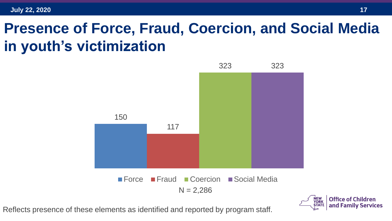### **Presence of Force, Fraud, Coercion, and Social Media in youth's victimization**



Reflects presence of these elements as identified and reported by program staff.

Office of Children

and Family Services

**STATE**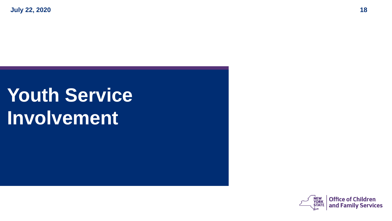# **Youth Service Involvement**

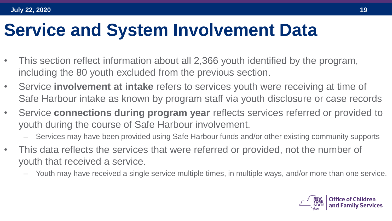## **Service and System Involvement Data**

- This section reflect information about all 2,366 youth identified by the program, including the 80 youth excluded from the previous section.
- Service **involvement at intake** refers to services youth were receiving at time of Safe Harbour intake as known by program staff via youth disclosure or case records
- Service **connections during program year** reflects services referred or provided to youth during the course of Safe Harbour involvement.
	- Services may have been provided using Safe Harbour funds and/or other existing community supports
- This data reflects the services that were referred or provided, not the number of youth that received a service.
	- Youth may have received a single service multiple times, in multiple ways, and/or more than one service.

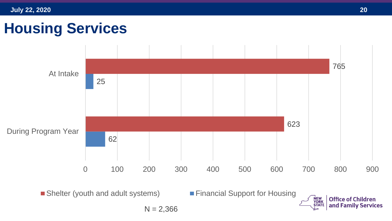### **Housing Services**

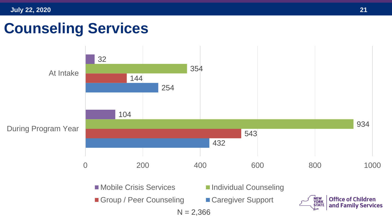### **Counseling Services**

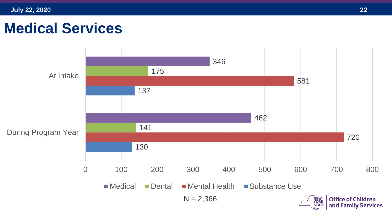### **Medical Services**

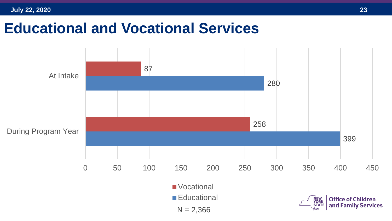### **Educational and Vocational Services**

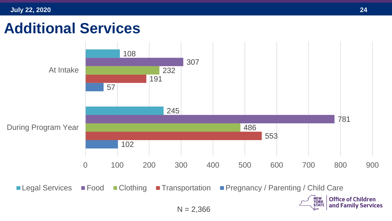### **Additional Services**

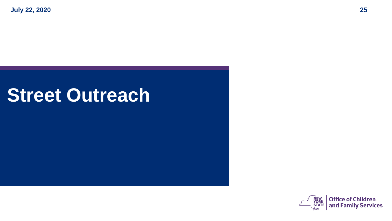## **Street Outreach**

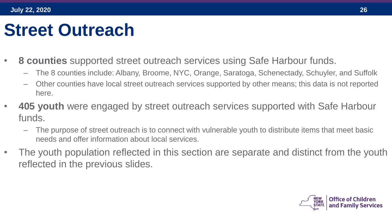## **Street Outreach**

- **8 counties** supported street outreach services using Safe Harbour funds.
	- The 8 counties include: Albany, Broome, NYC, Orange, Saratoga, Schenectady, Schuyler, and Suffolk
	- Other counties have local street outreach services supported by other means; this data is not reported here.
- **405 youth** were engaged by street outreach services supported with Safe Harbour funds.
	- The purpose of street outreach is to connect with vulnerable youth to distribute items that meet basic needs and offer information about local services.
- The youth population reflected in this section are separate and distinct from the youth reflected in the previous slides.

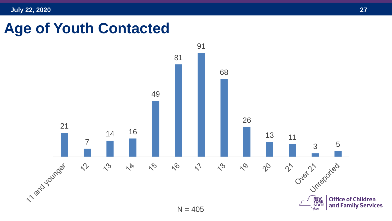### **Age of Youth Contacted**

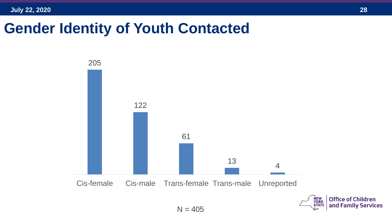### **Gender Identity of Youth Contacted**

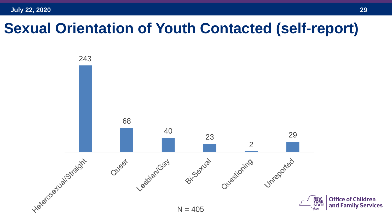### **Sexual Orientation of Youth Contacted (self-report)**

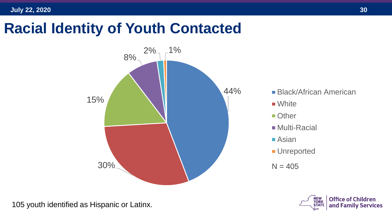### **Racial Identity of Youth Contacted**



105 youth identified as Hispanic or Latinx.

- **Black/African American**
- White
- **Other**
- **Multi-Racial**
- Asian
- **Unreported**
- $N = 405$

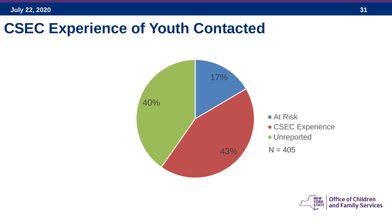### **CSEC Experience of Youth Contacted**



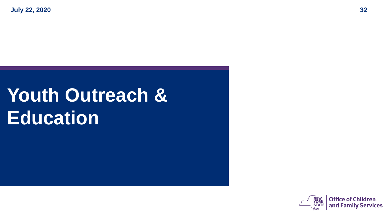# **Youth Outreach & Education**

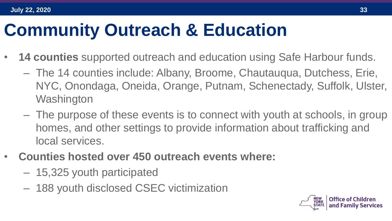# **Community Outreach & Education**

- **14 counties** supported outreach and education using Safe Harbour funds.
	- The 14 counties include: Albany, Broome, Chautauqua, Dutchess, Erie, NYC, Onondaga, Oneida, Orange, Putnam, Schenectady, Suffolk, Ulster, **Washington**
	- The purpose of these events is to connect with youth at schools, in group homes, and other settings to provide information about trafficking and local services.
- **Counties hosted over 450 outreach events where:** 
	- 15,325 youth participated
	- 188 youth disclosed CSEC victimization

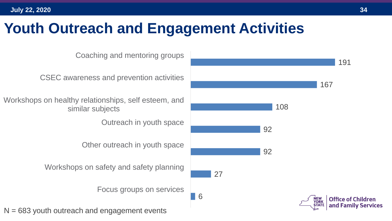### **Youth Outreach and Engagement Activities**

6 27 92 92 Focus groups on services Workshops on safety and safety planning Other outreach in youth space Outreach in youth space Workshops on healthy relationships, self esteem, and similar subjects CSEC awareness and prevention activities Coaching and mentoring groups  $N = 683$  youth outreach and engagement events